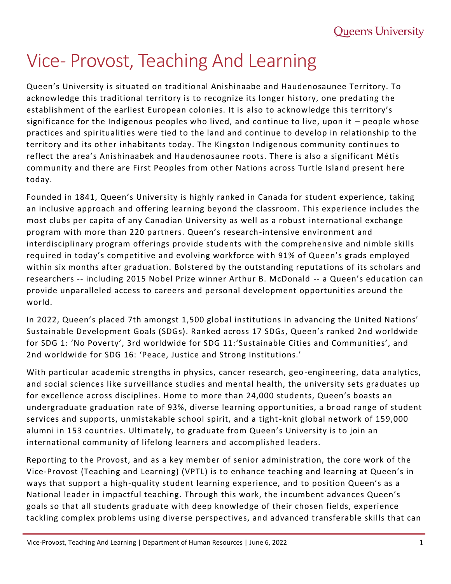## Vice- Provost, Teaching And Learning

Queen's University is situated on traditional Anishinaabe and Haudenosaunee Territory. To acknowledge this traditional territory is to recognize its longer history, one predating the establishment of the earliest European colonies. It is also to acknowledge this territory's significance for the Indigenous peoples who lived, and continue to live, upon it – people whose practices and spiritualities were tied to the land and continue to develop in relationship to the territory and its other inhabitants today. The Kingston Indigenous community continues to reflect the area's Anishinaabek and Haudenosaunee roots. There is also a significant Métis community and there are First Peoples from other Nations across Turtle Island present here today.

Founded in 1841, Queen's University is highly ranked in Canada for student experience, taking an inclusive approach and offering learning beyond the classroom. This experience includes the most clubs per capita of any Canadian University as well as a robust international exchange program with more than 220 partners. Queen's research-intensive environment and interdisciplinary program offerings provide students with the comprehensive and nimble skills required in today's competitive and evolving workforce with 91% of Queen's grads employed within six months after graduation. Bolstered by the outstanding reputations of its scholars and researchers -- including 2015 Nobel Prize winner Arthur B. McDonald -- a Queen's education can provide unparalleled access to careers and personal development opportunities around the world.

In 2022, Queen's placed 7th amongst 1,500 global institutions in advancing the United Nations' Sustainable Development Goals (SDGs). Ranked across 17 SDGs, Queen's ranked 2nd worldwide for SDG 1: 'No Poverty', 3rd worldwide for SDG 11:'Sustainable Cities and Communities', and 2nd worldwide for SDG 16: 'Peace, Justice and Strong Institutions.'

With particular academic strengths in physics, cancer research, geo -engineering, data analytics, and social sciences like surveillance studies and mental health, the university sets graduates up for excellence across disciplines. Home to more than 24,000 students, Queen's boasts an undergraduate graduation rate of 93%, diverse learning opportunities, a br oad range of student services and supports, unmistakable school spirit, and a tight-knit global network of 159,000 alumni in 153 countries. Ultimately, to graduate from Queen's University is to join an international community of lifelong learners and accomplished leaders.

Reporting to the Provost, and as a key member of senior administration, the core work of the Vice-Provost (Teaching and Learning) (VPTL) is to enhance teaching and learning at Queen's in ways that support a high-quality student learning experience, and to position Queen's as a National leader in impactful teaching. Through this work, the incumbent advances Queen's goals so that all students graduate with deep knowledge of their chosen fields, experience tackling complex problems using diverse perspectives, and advanced transferable skills that can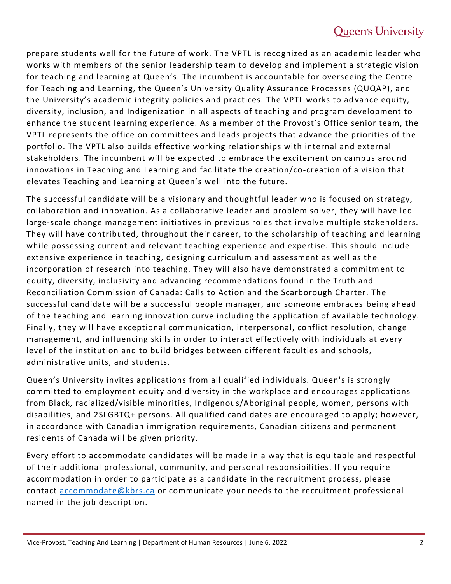## **Queen's University**

prepare students well for the future of work. The VPTL is recognized as an academic leader who works with members of the senior leadership team to develop and implement a strategic vision for teaching and learning at Queen's. The incumbent is accountable for overseeing the Centre for Teaching and Learning, the Queen's University Quality Assurance Processes (QUQAP), and the University's academic integrity policies and practices. The VPTL works to ad vance equity, diversity, inclusion, and Indigenization in all aspects of teaching and program development to enhance the student learning experience. As a member of the Provost's Office senior team, the VPTL represents the office on committees and leads projects that advance the priorities of the portfolio. The VPTL also builds effective working relationships with internal and external stakeholders. The incumbent will be expected to embrace the excitement on campus around innovations in Teaching and Learning and facilitate the creation/co-creation of a vision that elevates Teaching and Learning at Queen's well into the future.

The successful candidate will be a visionary and thoughtful leader who is focused on strategy, collaboration and innovation. As a collaborative leader and problem solver, they will have led large-scale change management initiatives in previous roles that involve multiple stakeholders. They will have contributed, throughout their career, to the scholarship of teaching and learning while possessing current and relevant teaching experience and expertise. This should include extensive experience in teaching, designing curriculum and assessment as well as the incorporation of research into teaching. They will also have demonstrated a commitment to equity, diversity, inclusivity and advancing recommendations found in the Truth and Reconciliation Commission of Canada: Calls to Action and the Scarborough Charter. The successful candidate will be a successful people manager, and someone embraces being ahead of the teaching and learning innovation curve including the application of available technology. Finally, they will have exceptional communication, interpersonal, conflict resolution, change management, and influencing skills in order to interact effectively with individuals at every level of the institution and to build bridges between different faculties and schools, administrative units, and students.

Queen's University invites applications from all qualified individuals. Queen's is strongly committed to employment equity and diversity in the workplace and encourages applications from Black, racialized/visible minorities, Indigenous/Aboriginal people, women, persons with disabilities, and 2SLGBTQ+ persons. All qualified candidates are encoura ged to apply; however, in accordance with Canadian immigration requirements, Canadian citizens and permanent residents of Canada will be given priority.

Every effort to accommodate candidates will be made in a way that is equitable and respectful of their additional professional, community, and personal responsibilities. If you require accommodation in order to participate as a candidate in the recruitment process, please contact [accommodate@kbrs.ca](file:///C:/Users/mdm19/AppData/Local/Microsoft/Windows/INetCache/Content.Outlook/QHGK9AQP/accommodate@kbrs.ca) or communicate your needs to the recruitment professional named in the job description.